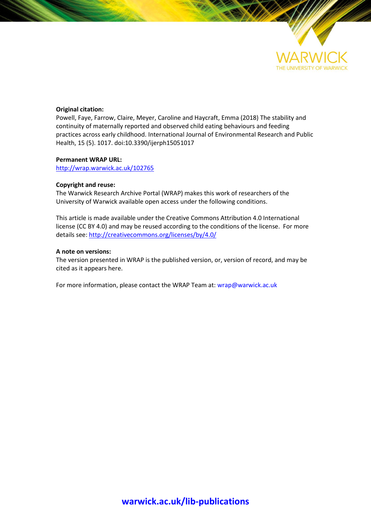

# **Original citation:**

Powell, Faye, Farrow, Claire, Meyer, Caroline and Haycraft, Emma (2018) The stability and continuity of maternally reported and observed child eating behaviours and feeding practices across early childhood. International Journal of Environmental Research and Public Health, 15 (5). 1017. doi:10.3390/ijerph15051017

# **Permanent WRAP URL:**

<http://wrap.warwick.ac.uk/102765>

# **Copyright and reuse:**

The Warwick Research Archive Portal (WRAP) makes this work of researchers of the University of Warwick available open access under the following conditions.

This article is made available under the Creative Commons Attribution 4.0 International license (CC BY 4.0) and may be reused according to the conditions of the license. For more details see[: http://creativecommons.org/licenses/by/4.0/](http://creativecommons.org/licenses/by/4.0/) 

# **A note on versions:**

The version presented in WRAP is the published version, or, version of record, and may be cited as it appears here.

For more information, please contact the WRAP Team at[: wrap@warwick.ac.uk](mailto:wrap@warwick.ac.uk)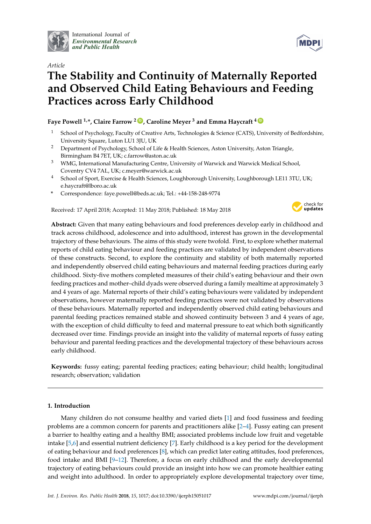

International Journal of *[Environmental Research](http://www.mdpi.com/journal/ijerph) and Public Health*

# *Article*

# **The Stability and Continuity of Maternally Reported and Observed Child Eating Behaviours and Feeding Practices across Early Childhood**

# **Faye Powell** <sup>1,\*</sup>, Claire Farrow<sup>2</sup> **D**, Caroline Meyer<sup>3</sup> and Emma Haycraft<sup>4</sup> **D**

- <sup>1</sup> School of Psychology, Faculty of Creative Arts, Technologies & Science (CATS), University of Bedfordshire, University Square, Luton LU1 3JU, UK
- <sup>2</sup> Department of Psychology, School of Life & Health Sciences, Aston University, Aston Triangle, Birmingham B4 7ET, UK; c.farrow@aston.ac.uk
- <sup>3</sup> WMG, International Manufacturing Centre, University of Warwick and Warwick Medical School, Coventry CV4 7AL, UK; c.meyer@warwick.ac.uk
- <sup>4</sup> School of Sport, Exercise & Health Sciences, Loughborough University, Loughborough LE11 3TU, UK; e.haycraft@lboro.ac.uk
- **\*** Correspondence: faye.powell@beds.ac.uk; Tel.: +44-158-248-9774

Received: 17 April 2018; Accepted: 11 May 2018; Published: 18 May 2018



**Abstract:** Given that many eating behaviours and food preferences develop early in childhood and track across childhood, adolescence and into adulthood, interest has grown in the developmental trajectory of these behaviours. The aims of this study were twofold. First, to explore whether maternal reports of child eating behaviour and feeding practices are validated by independent observations of these constructs. Second, to explore the continuity and stability of both maternally reported and independently observed child eating behaviours and maternal feeding practices during early childhood. Sixty-five mothers completed measures of their child's eating behaviour and their own feeding practices and mother–child dyads were observed during a family mealtime at approximately 3 and 4 years of age. Maternal reports of their child's eating behaviours were validated by independent observations, however maternally reported feeding practices were not validated by observations of these behaviours. Maternally reported and independently observed child eating behaviours and parental feeding practices remained stable and showed continuity between 3 and 4 years of age, with the exception of child difficulty to feed and maternal pressure to eat which both significantly decreased over time. Findings provide an insight into the validity of maternal reports of fussy eating behaviour and parental feeding practices and the developmental trajectory of these behaviours across early childhood.

**Keywords:** fussy eating; parental feeding practices; eating behaviour; child health; longitudinal research; observation; validation

# **1. Introduction**

Many children do not consume healthy and varied diets [\[1\]](#page-12-0) and food fussiness and feeding problems are a common concern for parents and practitioners alike [\[2](#page-12-1)[–4\]](#page-12-2). Fussy eating can present a barrier to healthy eating and a healthy BMI; associated problems include low fruit and vegetable intake [\[5](#page-12-3)[,6\]](#page-12-4) and essential nutrient deficiency [\[7\]](#page-12-5). Early childhood is a key period for the development of eating behaviour and food preferences [\[8\]](#page-12-6), which can predict later eating attitudes, food preferences, food intake and BMI [\[9–](#page-12-7)[12\]](#page-12-8). Therefore, a focus on early childhood and the early developmental trajectory of eating behaviours could provide an insight into how we can promote healthier eating and weight into adulthood. In order to appropriately explore developmental trajectory over time,

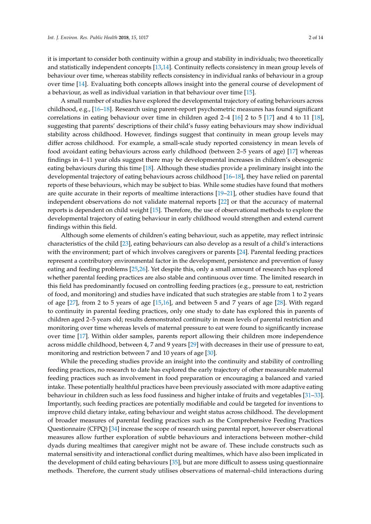it is important to consider both continuity within a group and stability in individuals; two theoretically and statistically independent concepts [\[13](#page-12-9)[,14\]](#page-12-10). Continuity reflects consistency in mean group levels of behaviour over time, whereas stability reflects consistency in individual ranks of behaviour in a group over time [\[14\]](#page-12-10). Evaluating both concepts allows insight into the general course of development of a behaviour, as well as individual variation in that behaviour over time [\[15\]](#page-12-11).

A small number of studies have explored the developmental trajectory of eating behaviours across childhood, e.g., [\[16](#page-12-12)[–18\]](#page-13-0). Research using parent-report psychometric measures has found significant correlations in eating behaviour over time in children aged 2–4 [\[16\]](#page-12-12) 2 to 5 [\[17\]](#page-12-13) and 4 to 11 [\[18\]](#page-13-0), suggesting that parents' descriptions of their child's fussy eating behaviours may show individual stability across childhood. However, findings suggest that continuity in mean group levels may differ across childhood. For example, a small-scale study reported consistency in mean levels of food avoidant eating behaviours across early childhood (between 2–5 years of age) [\[17\]](#page-12-13) whereas findings in 4–11 year olds suggest there may be developmental increases in children's obesogenic eating behaviours during this time [\[18\]](#page-13-0). Although these studies provide a preliminary insight into the developmental trajectory of eating behaviours across childhood [\[16](#page-12-12)[–18\]](#page-13-0), they have relied on parental reports of these behaviours, which may be subject to bias. While some studies have found that mothers are quite accurate in their reports of mealtime interactions [\[19](#page-13-1)[–21\]](#page-13-2), other studies have found that independent observations do not validate maternal reports [\[22\]](#page-13-3) or that the accuracy of maternal reports is dependent on child weight [\[15\]](#page-12-11). Therefore, the use of observational methods to explore the developmental trajectory of eating behaviour in early childhood would strengthen and extend current findings within this field.

Although some elements of children's eating behaviour, such as appetite, may reflect intrinsic characteristics of the child [\[23\]](#page-13-4), eating behaviours can also develop as a result of a child's interactions with the environment; part of which involves caregivers or parents [\[24\]](#page-13-5). Parental feeding practices represent a contributory environmental factor in the development, persistence and prevention of fussy eating and feeding problems [\[25,](#page-13-6)[26\]](#page-13-7). Yet despite this, only a small amount of research has explored whether parental feeding practices are also stable and continuous over time. The limited research in this field has predominantly focused on controlling feeding practices (e.g., pressure to eat, restriction of food, and monitoring) and studies have indicated that such strategies are stable from 1 to 2 years of age [\[27\]](#page-13-8), from 2 to 5 years of age [\[15,](#page-12-11)[16\]](#page-12-12), and between 5 and 7 years of age [\[28\]](#page-13-9). With regard to continuity in parental feeding practices, only one study to date has explored this in parents of children aged 2–5 years old; results demonstrated continuity in mean levels of parental restriction and monitoring over time whereas levels of maternal pressure to eat were found to significantly increase over time [\[17\]](#page-12-13). Within older samples, parents report allowing their children more independence across middle childhood, between 4, 7 and 9 years [\[29\]](#page-13-10) with decreases in their use of pressure to eat, monitoring and restriction between 7 and 10 years of age [\[30\]](#page-13-11).

While the preceding studies provide an insight into the continuity and stability of controlling feeding practices, no research to date has explored the early trajectory of other measurable maternal feeding practices such as involvement in food preparation or encouraging a balanced and varied intake. These potentially healthful practices have been previously associated with more adaptive eating behaviour in children such as less food fussiness and higher intake of fruits and vegetables [\[31–](#page-13-12)[33\]](#page-13-13). Importantly, such feeding practices are potentially modifiable and could be targeted for inventions to improve child dietary intake, eating behaviour and weight status across childhood. The development of broader measures of parental feeding practices such as the Comprehensive Feeding Practices Questionnaire (CFPQ) [\[34\]](#page-13-14) increase the scope of research using parental report, however observational measures allow further exploration of subtle behaviours and interactions between mother–child dyads during mealtimes that caregiver might not be aware of. These include constructs such as maternal sensitivity and interactional conflict during mealtimes, which have also been implicated in the development of child eating behaviours [\[35\]](#page-13-15), but are more difficult to assess using questionnaire methods. Therefore, the current study utilises observations of maternal–child interactions during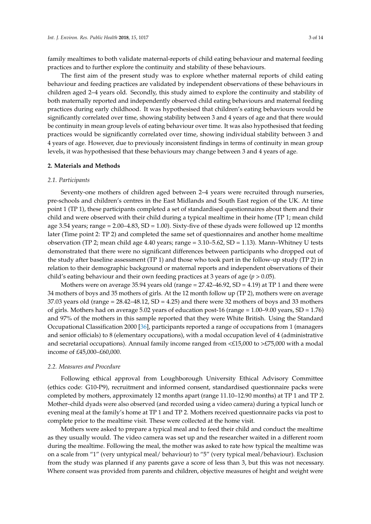family mealtimes to both validate maternal-reports of child eating behaviour and maternal feeding practices and to further explore the continuity and stability of these behaviours.

The first aim of the present study was to explore whether maternal reports of child eating behaviour and feeding practices are validated by independent observations of these behaviours in children aged 2–4 years old. Secondly, this study aimed to explore the continuity and stability of both maternally reported and independently observed child eating behaviours and maternal feeding practices during early childhood. It was hypothesised that children's eating behaviours would be significantly correlated over time, showing stability between 3 and 4 years of age and that there would be continuity in mean group levels of eating behaviour over time. It was also hypothesised that feeding practices would be significantly correlated over time, showing individual stability between 3 and 4 years of age. However, due to previously inconsistent findings in terms of continuity in mean group levels, it was hypothesised that these behaviours may change between 3 and 4 years of age.

#### **2. Materials and Methods**

#### *2.1. Participants*

Seventy-one mothers of children aged between 2–4 years were recruited through nurseries, pre-schools and children's centres in the East Midlands and South East region of the UK. At time point 1 (TP 1), these participants completed a set of standardised questionnaires about them and their child and were observed with their child during a typical mealtime in their home (TP 1; mean child age 3.54 years; range = 2.00–4.83, SD = 1.00). Sixty-five of these dyads were followed up 12 months later (Time point 2: TP 2) and completed the same set of questionnaires and another home mealtime observation (TP 2; mean child age 4.40 years; range = 3.10–5.62, SD = 1.13). Mann–Whitney U tests demonstrated that there were no significant differences between participants who dropped out of the study after baseline assessment (TP 1) and those who took part in the follow-up study (TP 2) in relation to their demographic background or maternal reports and independent observations of their child's eating behaviour and their own feeding practices at 3 years of age (*p* > 0.05).

Mothers were on average 35.94 years old (range = 27.42–46.92, SD = 4.19) at TP 1 and there were 34 mothers of boys and 35 mothers of girls. At the 12 month follow up (TP 2), mothers were on average 37.03 years old (range = 28.42–48.12, SD = 4.25) and there were 32 mothers of boys and 33 mothers of girls. Mothers had on average 5.02 years of education post-16 (range = 1.00–9.00 years, SD = 1.76) and 97% of the mothers in this sample reported that they were White British. Using the Standard Occupational Classification 2000 [\[36\]](#page-13-16), participants reported a range of occupations from 1 (managers and senior officials) to 8 (elementary occupations), with a modal occupation level of 4 (administrative and secretarial occupations). Annual family income ranged from  $\leq$  £15,000 to  $\geq$  £75,000 with a modal income of £45,000–£60,000.

#### *2.2. Measures and Procedure*

Following ethical approval from Loughborough University Ethical Advisory Committee (ethics code: G10-P9), recruitment and informed consent, standardised questionnaire packs were completed by mothers, approximately 12 months apart (range 11.10–12.90 months) at TP 1 and TP 2. Mother–child dyads were also observed (and recorded using a video camera) during a typical lunch or evening meal at the family's home at TP 1 and TP 2. Mothers received questionnaire packs via post to complete prior to the mealtime visit. These were collected at the home visit.

Mothers were asked to prepare a typical meal and to feed their child and conduct the mealtime as they usually would. The video camera was set up and the researcher waited in a different room during the mealtime. Following the meal, the mother was asked to rate how typical the mealtime was on a scale from "1" (very untypical meal/ behaviour) to "5" (very typical meal/behaviour). Exclusion from the study was planned if any parents gave a score of less than 3, but this was not necessary. Where consent was provided from parents and children, objective measures of height and weight were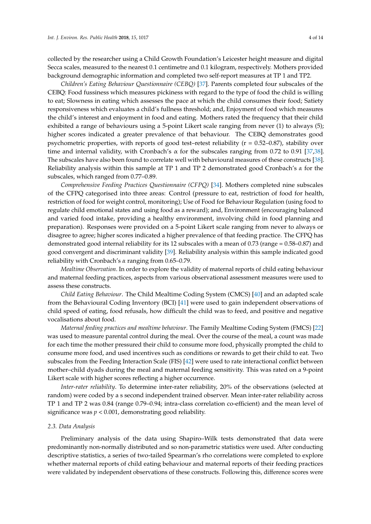collected by the researcher using a Child Growth Foundation's Leicester height measure and digital Secca scales, measured to the nearest 0.1 centimetre and 0.1 kilogram, respectively. Mothers provided background demographic information and completed two self-report measures at TP 1 and TP2.

*Children's Eating Behaviour Questionnaire (CEBQ)* [\[37\]](#page-13-17). Parents completed four subscales of the CEBQ: Food fussiness which measures pickiness with regard to the type of food the child is willing to eat; Slowness in eating which assesses the pace at which the child consumes their food; Satiety responsiveness which evaluates a child's fullness threshold; and, Enjoyment of food which measures the child's interest and enjoyment in food and eating. Mothers rated the frequency that their child exhibited a range of behaviours using a 5-point Likert scale ranging from never (1) to always (5); higher scores indicated a greater prevalence of that behaviour. The CEBQ demonstrates good psychometric properties, with reports of good test-retest reliability ( $r = 0.52 - 0.87$ ), stability over time and internal validity, with Cronbach's α for the subscales ranging from 0.72 to 0.91 [\[37,](#page-13-17)[38\]](#page-13-18). The subscales have also been found to correlate well with behavioural measures of these constructs [\[38\]](#page-13-18). Reliability analysis within this sample at TP 1 and TP 2 demonstrated good Cronbach's *α* for the subscales, which ranged from 0.77–0.89.

*Comprehensive Feeding Practices Questionnaire (CFPQ)* [\[34\]](#page-13-14). Mothers completed nine subscales of the CFPQ categorised into three areas: Control (pressure to eat, restriction of food for health, restriction of food for weight control, monitoring); Use of Food for Behaviour Regulation (using food to regulate child emotional states and using food as a reward); and, Environment (encouraging balanced and varied food intake, providing a healthy environment, involving child in food planning and preparation). Responses were provided on a 5-point Likert scale ranging from never to always or disagree to agree; higher scores indicated a higher prevalence of that feeding practice. The CFPQ has demonstrated good internal reliability for its 12 subscales with a mean of 0.73 (range = 0.58–0.87) and good convergent and discriminant validity [\[39\]](#page-13-19). Reliability analysis within this sample indicated good reliability with Cronbach's *α* ranging from 0.65–0.79.

*Mealtime Observation*. In order to explore the validity of maternal reports of child eating behaviour and maternal feeding practices, aspects from various observational assessment measures were used to assess these constructs.

*Child Eating Behaviour*. The Child Mealtime Coding System (CMCS) [\[40\]](#page-14-0) and an adapted scale from the Behavioural Coding Inventory (BCI) [\[41\]](#page-14-1) were used to gain independent observations of child speed of eating, food refusals, how difficult the child was to feed, and positive and negative vocalisations about food.

*Maternal feeding practices and mealtime behaviour*. The Family Mealtime Coding System (FMCS) [\[22\]](#page-13-3) was used to measure parental control during the meal. Over the course of the meal, a count was made for each time the mother pressured their child to consume more food, physically prompted the child to consume more food, and used incentives such as conditions or rewards to get their child to eat. Two subscales from the Feeding Interaction Scale (FIS) [\[42\]](#page-14-2) were used to rate interactional conflict between mother–child dyads during the meal and maternal feeding sensitivity. This was rated on a 9-point Likert scale with higher scores reflecting a higher occurrence.

*Inter-rater reliability*. To determine inter-rater reliability, 20% of the observations (selected at random) were coded by a s second independent trained observer. Mean inter-rater reliability across TP 1 and TP 2 was 0.84 (range 0.79–0.94; intra-class correlation co-efficient) and the mean level of significance was  $p < 0.001$ , demonstrating good reliability.

#### *2.3. Data Analysis*

Preliminary analysis of the data using Shapiro–Wilk tests demonstrated that data were predominantly non-normally distributed and so non-parametric statistics were used. After conducting descriptive statistics, a series of two-tailed Spearman's rho correlations were completed to explore whether maternal reports of child eating behaviour and maternal reports of their feeding practices were validated by independent observations of these constructs. Following this, difference scores were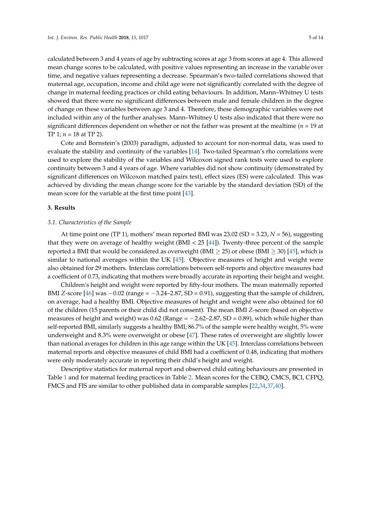calculated between 3 and 4 years of age by subtracting scores at age 3 from scores at age 4. This allowed mean change scores to be calculated, with positive values representing an increase in the variable over time, and negative values representing a decrease. Spearman's two-tailed correlations showed that maternal age, occupation, income and child age were not significantly correlated with the degree of change in maternal feeding practices or child eating behaviours. In addition, Mann–Whitney U tests showed that there were no significant differences between male and female children in the degree of change on these variables between age 3 and 4. Therefore, these demographic variables were not included within any of the further analyses. Mann–Whitney U tests also indicated that there were no significant differences dependent on whether or not the father was present at the mealtime (*n =* 19 at TP 1; *n =* 18 at TP 2).

Cote and Bornstein's (2003) paradigm, adjusted to account for non-normal data, was used to evaluate the stability and continuity of the variables [\[14\]](#page-12-10). Two-tailed Spearman's rho correlations were used to explore the stability of the variables and Wilcoxon signed rank tests were used to explore continuity between 3 and 4 years of age. Where variables did not show continuity (demonstrated by significant differences on Wilcoxon matched pairs test), effect sizes (ES) were calculated. This was achieved by dividing the mean change score for the variable by the standard deviation (SD) of the mean score for the variable at the first time point [\[43\]](#page-14-3).

#### **3. Results**

#### *3.1. Characteristics of the Sample*

At time point one (TP 1), mothers' mean reported BMI was 23.02 (SD = 3.23, *N* = 56), suggesting that they were on average of healthy weight (BMI <  $25$  [\[44\]](#page-14-4)). Twenty-three percent of the sample reported a BMI that would be considered as overweight (BMI  $\geq$  25) or obese (BMI  $\geq$  30) [\[45\]](#page-14-5), which is similar to national averages within the UK [\[45\]](#page-14-5). Objective measures of height and weight were also obtained for 29 mothers. Interclass correlations between self-reports and objective measures had a coefficient of 0.73, indicating that mothers were broadly accurate in reporting their height and weight.

Children's height and weight were reported by fifty-four mothers. The mean maternally reported BMI *Z*-score [\[46\]](#page-14-6) was  $-0.02$  (range =  $-3.24-2.87$ , SD = 0.91), suggesting that the sample of children, on average, had a healthy BMI. Objective measures of height and weight were also obtained for 60 of the children (15 parents or their child did not consent). The mean BMI *Z*-score (based on objective measures of height and weight) was  $0.62$  (Range =  $-2.62-2.87$ , SD = 0.89), which while higher than self-reported BMI, similarly suggests a healthy BMI; 86.7% of the sample were healthy weight, 5% were underweight and 8.3% were overweight or obese [\[47\]](#page-14-7). These rates of overweight are slightly lower than national averages for children in this age range within the UK [\[45\]](#page-14-5). Interclass correlations between maternal reports and objective measures of child BMI had a coefficient of 0.48, indicating that mothers were only moderately accurate in reporting their child's height and weight.

Descriptive statistics for maternal report and observed child eating behaviours are presented in Table [1](#page-6-0) and for maternal feeding practices in Table [2.](#page-7-0) Mean scores for the CEBQ, CMCS, BCI, CFPQ, FMCS and FIS are similar to other published data in comparable samples [\[22](#page-13-3)[,34,](#page-13-14)[37,](#page-13-17)[40\]](#page-14-0).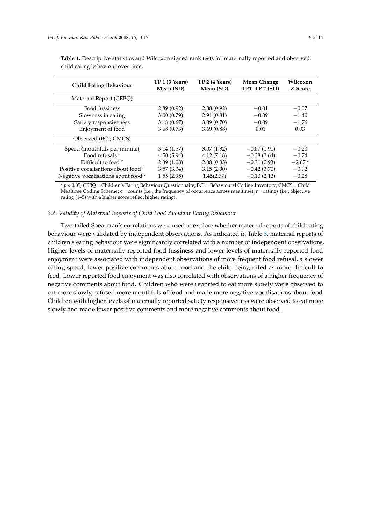| <b>Child Eating Behaviour</b>                  | TP 1 (3 Years)<br>Mean (SD) | TP 2 (4 Years)<br>Mean (SD) | Mean Change<br>$TP1-TP2(SD)$ | Wilcoxon<br>Z-Score |
|------------------------------------------------|-----------------------------|-----------------------------|------------------------------|---------------------|
| Maternal Report (CEBQ)                         |                             |                             |                              |                     |
| Food fussiness                                 | 2.89(0.92)                  | 2.88(0.92)                  | $-0.01$                      | $-0.07$             |
| Slowness in eating                             | 3.00(0.79)                  | 2.91(0.81)                  | $-0.09$                      | $-1.40$             |
| Satiety responsiveness                         | 3.18(0.67)                  | 3.09(0.70)                  | $-0.09$                      | $-1.76$             |
| Enjoyment of food                              | 3.68(0.73)                  | 3.69(0.88)                  | 0.01                         | 0.03                |
| Observed (BCI; CMCS)                           |                             |                             |                              |                     |
| Speed (mouthfuls per minute)                   | 3.14(1.57)                  | 3.07(1.32)                  | $-0.07(1.91)$                | $-0.20$             |
| Food refusals <sup>c</sup>                     | 4.50(5.94)                  | 4.12(7.18)                  | $-0.38(3.64)$                | $-0.74$             |
| Difficult to feed $r$                          | 2.39(1.08)                  | 2.08(0.83)                  | $-0.31(0.93)$                | $-2.67*$            |
| Positive vocalisations about food <sup>c</sup> | 3.57(3.34)                  | 3.15(2.90)                  | $-0.42(3.70)$                | $-0.92$             |
| Negative vocalisations about food <sup>c</sup> | 1.55(2.95)                  | 1.45(2.77)                  | $-0.10(2.12)$                | $-0.28$             |

<span id="page-6-0"></span>**Table 1.** Descriptive statistics and Wilcoxon signed rank tests for maternally reported and observed child eating behaviour over time.

\* *p* < 0.05; CEBQ = Children's Eating Behaviour Questionnaire; BCI = Behavioural Coding Inventory; CMCS = Child Mealtime Coding Scheme;  $c =$  counts (i.e., the frequency of occurrence across mealtime);  $r =$  ratings (i.e., objective rating (1–5) with a higher score reflect higher rating).

#### *3.2. Validity of Maternal Reports of Child Food Avoidant Eating Behaviour*

Two-tailed Spearman's correlations were used to explore whether maternal reports of child eating behaviour were validated by independent observations. As indicated in Table [3,](#page-7-1) maternal reports of children's eating behaviour were significantly correlated with a number of independent observations. Higher levels of maternally reported food fussiness and lower levels of maternally reported food enjoyment were associated with independent observations of more frequent food refusal, a slower eating speed, fewer positive comments about food and the child being rated as more difficult to feed. Lower reported food enjoyment was also correlated with observations of a higher frequency of negative comments about food. Children who were reported to eat more slowly were observed to eat more slowly, refused more mouthfuls of food and made more negative vocalisations about food. Children with higher levels of maternally reported satiety responsiveness were observed to eat more slowly and made fewer positive comments and more negative comments about food.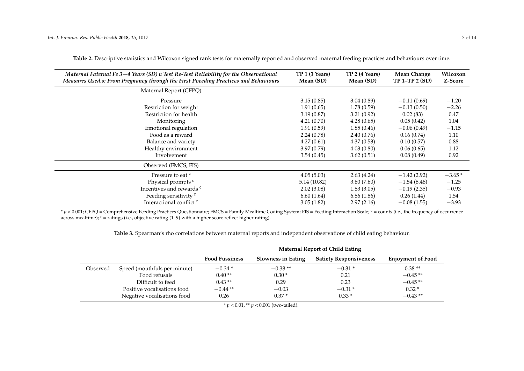| Maternal Faternal Fe 3-4 Years (SD) n Test Re-Test Reliability for the Observational<br>Measures Used.s: From Pregnancy through the First Poeeding Practices and Behaviours | TP 1 (3 Years)<br>Mean (SD) | TP 2 (4 Years)<br>Mean (SD) | Mean Change<br>$TP 1-TP 2 (SD)$ | Wilcoxon<br>Z-Score |
|-----------------------------------------------------------------------------------------------------------------------------------------------------------------------------|-----------------------------|-----------------------------|---------------------------------|---------------------|
| Maternal Report (CFPQ)                                                                                                                                                      |                             |                             |                                 |                     |
| Pressure                                                                                                                                                                    | 3.15(0.85)                  | 3.04(0.89)                  | $-0.11(0.69)$                   | $-1.20$             |
| Restriction for weight                                                                                                                                                      | 1.91(0.65)                  | 1.78(0.59)                  | $-0.13(0.50)$                   | $-2.26$             |
| Restriction for health                                                                                                                                                      | 3.19(0.87)                  | 3.21(0.92)                  | 0.02(83)                        | 0.47                |
| Monitoring                                                                                                                                                                  | 4.21(0.70)                  | 4.28(0.65)                  | 0.05(0.42)                      | 1.04                |
| Emotional regulation                                                                                                                                                        | 1.91(0.59)                  | 1.85(0.46)                  | $-0.06(0.49)$                   | $-1.15$             |
| Food as a reward                                                                                                                                                            | 2.24(0.78)                  | 2.40(0.76)                  | 0.16(0.74)                      | 1.10                |
| Balance and variety                                                                                                                                                         | 4.27(0.61)                  | 4.37(0.53)                  | 0.10(0.57)                      | 0.88                |
| Healthy environment                                                                                                                                                         | 3.97(0.79)                  | 4.03(0.80)                  | 0.06(0.65)                      | 1.12                |
| Involvement                                                                                                                                                                 | 3.54(0.45)                  | 3.62(0.51)                  | 0.08(0.49)                      | 0.92                |
| Observed (FMCS; FIS)                                                                                                                                                        |                             |                             |                                 |                     |
| Pressure to eat <sup>c</sup>                                                                                                                                                | 4.05(5.03)                  | 2.63(4.24)                  | $-1.42(2.92)$                   | $-3.65*$            |
| Physical prompts <sup>c</sup>                                                                                                                                               | 5.14 (10.82)                | 3.60(7.60)                  | $-1.54(8.46)$                   | $-1.25$             |
| Incentives and rewards <sup>c</sup>                                                                                                                                         | 2.02(3.08)                  | 1.83(3.05)                  | $-0.19(2.35)$                   | $-0.93$             |
| Feeding sensitivity <sup>r</sup>                                                                                                                                            | 6.60(1.64)                  | 6.86(1.86)                  | 0.26(1.44)                      | 1.54                |
| Interactional conflict <sup>r</sup>                                                                                                                                         | 3.05(1.82)                  | 2.97(2.16)                  | $-0.08(1.55)$                   | $-3.93$             |

**Table 2.** Descriptive statistics and Wilcoxon signed rank tests for maternally reported and observed maternal feeding practices and behaviours over time.

<span id="page-7-0"></span> $p$  < 0.001; CFPQ = Comprehensive Feeding Practices Questionnaire; FMCS = Family Mealtime Coding System; FIS = Feeding Interaction Scale; <sup>c</sup> = counts (i.e., the frequency of occurrence across mealtime);  $r =$  ratings (i.e., objective rating (1–9) with a higher score reflect higher rating).

**Table 3.** Spearman's rho correlations between maternal reports and independent observations of child eating behaviour.

<span id="page-7-1"></span>

|          |                              | <b>Maternal Report of Child Eating</b> |                           |                               |                          |
|----------|------------------------------|----------------------------------------|---------------------------|-------------------------------|--------------------------|
|          |                              | <b>Food Fussiness</b>                  | <b>Slowness in Eating</b> | <b>Satiety Responsiveness</b> | <b>Enjoyment of Food</b> |
| Observed | Speed (mouthfuls per minute) | $-0.34*$                               | $-0.38**$                 | $-0.31*$                      | $0.38**$                 |
|          | Food refusals                | $0.40**$                               | $0.30*$                   | 0.21                          | $-0.45**$                |
|          | Difficult to feed            | $0.43**$                               | 0.29                      | 0.23                          | $-0.45**$                |
|          | Positive vocalisations food  | $-0.44**$                              | $-0.03$                   | $-0.31*$                      | $0.32*$                  |
|          | Negative vocalisations food  | 0.26                                   | $0.37*$                   | $0.33*$                       | $-0.43**$                |

\* *p* < 0.01, \*\* *p* < 0.001 (two-tailed).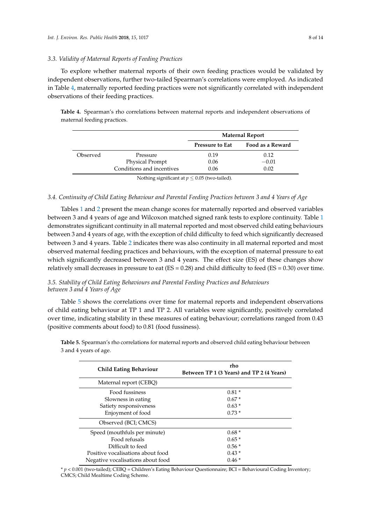#### *3.3. Validity of Maternal Reports of Feeding Practices*

To explore whether maternal reports of their own feeding practices would be validated by independent observations, further two-tailed Spearman's correlations were employed. As indicated in Table [4,](#page-8-0) maternally reported feeding practices were not significantly correlated with independent observations of their feeding practices.

<span id="page-8-0"></span>**Table 4.** Spearman's rho correlations between maternal reports and independent observations of maternal feeding practices.

|          |                           | <b>Maternal Report</b> |                  |
|----------|---------------------------|------------------------|------------------|
|          |                           | <b>Pressure to Eat</b> | Food as a Reward |
| Observed | Pressure                  | 0.19                   | 0.12             |
|          | Physical Prompt           | 0.06                   | $-0.01$          |
|          | Conditions and incentives | 0.06                   | 0.02             |

Nothing significant at  $p \leq 0.05$  (two-tailed).

#### *3.4. Continuity of Child Eating Behaviour and Parental Feeding Practices between 3 and 4 Years of Age*

Tables [1](#page-6-0) and [2](#page-7-0) present the mean change scores for maternally reported and observed variables between 3 and 4 years of age and Wilcoxon matched signed rank tests to explore continuity. Table [1](#page-6-0) demonstrates significant continuity in all maternal reported and most observed child eating behaviours between 3 and 4 years of age, with the exception of child difficulty to feed which significantly decreased between 3 and 4 years. Table [2](#page-7-0) indicates there was also continuity in all maternal reported and most observed maternal feeding practices and behaviours, with the exception of maternal pressure to eat which significantly decreased between 3 and 4 years. The effect size (ES) of these changes show relatively small decreases in pressure to eat (ES = 0.28) and child difficulty to feed (ES = 0.30) over time.

#### *3.5. Stability of Child Eating Behaviours and Parental Feeding Practices and Behaviours between 3 and 4 Years of Age*

Table [5](#page-8-1) shows the correlations over time for maternal reports and independent observations of child eating behaviour at TP 1 and TP 2. All variables were significantly, positively correlated over time, indicating stability in these measures of eating behaviour; correlations ranged from 0.43 (positive comments about food) to 0.81 (food fussiness).

| <b>Child Eating Behaviour</b>     | rho<br>Between TP 1 (3 Years) and TP 2 (4 Years) |
|-----------------------------------|--------------------------------------------------|
| Maternal report (CEBQ)            |                                                  |
| Food fussiness                    | $0.81*$                                          |
| Slowness in eating                | $0.67*$                                          |
| Satiety responsiveness            | $0.63*$                                          |
| Enjoyment of food                 | $0.73*$                                          |
| Observed (BCI; CMCS)              |                                                  |
| Speed (mouthfuls per minute)      | $0.68*$                                          |
| Food refusals                     | $0.65*$                                          |
| Difficult to feed                 | $0.56*$                                          |
| Positive vocalisations about food | $0.43*$                                          |
| Negative vocalisations about food | $0.46*$                                          |

<span id="page-8-1"></span>**Table 5.** Spearman's rho correlations for maternal reports and observed child eating behaviour between 3 and 4 years of age.

\* *p* < 0.001 (two-tailed); CEBQ = Children's Eating Behaviour Questionnaire; BCI = Behavioural Coding Inventory; CMCS; Child Mealtime Coding Scheme.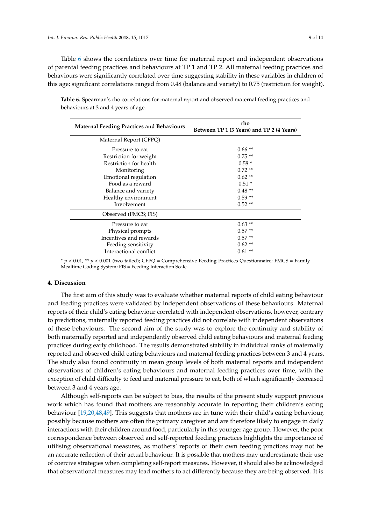Table [6](#page-9-0) shows the correlations over time for maternal report and independent observations of parental feeding practices and behaviours at TP 1 and TP 2. All maternal feeding practices and behaviours were significantly correlated over time suggesting stability in these variables in children of this age; significant correlations ranged from 0.48 (balance and variety) to 0.75 (restriction for weight).

| <b>Maternal Feeding Practices and Behaviours</b> | rho<br>Between TP 1 (3 Years) and TP 2 (4 Years) |  |
|--------------------------------------------------|--------------------------------------------------|--|
| Maternal Report (CFPQ)                           |                                                  |  |
| Pressure to eat                                  | $0.66**$                                         |  |
| Restriction for weight                           | $0.75**$                                         |  |
| Restriction for health                           | $0.58*$                                          |  |
| Monitoring                                       | $0.72**$                                         |  |
| Emotional regulation                             | $0.62**$                                         |  |
| Food as a reward                                 | $0.51*$                                          |  |
| Balance and variety                              | $0.48**$                                         |  |
| Healthy environment                              | $0.59**$                                         |  |
| Involvement                                      | $0.52**$                                         |  |
| Observed (FMCS; FIS)                             |                                                  |  |
| Pressure to eat                                  | $0.63**$                                         |  |
| Physical prompts                                 | $0.57**$                                         |  |
| Incentives and rewards                           | $0.57**$                                         |  |
| Feeding sensitivity                              | $0.62**$                                         |  |
| Interactional conflict                           | $0.61**$                                         |  |

<span id="page-9-0"></span>**Table 6.** Spearman's rho correlations for maternal report and observed maternal feeding practices and behaviours at 3 and 4 years of age.

\* *p* < 0.01, \*\* *p* < 0.001 (two-tailed); CFPQ = Comprehensive Feeding Practices Questionnaire; FMCS = Family Mealtime Coding System; FIS = Feeding Interaction Scale.

# **4. Discussion**

The first aim of this study was to evaluate whether maternal reports of child eating behaviour and feeding practices were validated by independent observations of these behaviours. Maternal reports of their child's eating behaviour correlated with independent observations, however, contrary to predictions, maternally reported feeding practices did not correlate with independent observations of these behaviours. The second aim of the study was to explore the continuity and stability of both maternally reported and independently observed child eating behaviours and maternal feeding practices during early childhood. The results demonstrated stability in individual ranks of maternally reported and observed child eating behaviours and maternal feeding practices between 3 and 4 years. The study also found continuity in mean group levels of both maternal reports and independent observations of children's eating behaviours and maternal feeding practices over time, with the exception of child difficulty to feed and maternal pressure to eat, both of which significantly decreased between 3 and 4 years age.

Although self-reports can be subject to bias, the results of the present study support previous work which has found that mothers are reasonably accurate in reporting their children's eating behaviour [\[19,](#page-13-1)[20,](#page-13-20)[48,](#page-14-8)[49\]](#page-14-9). This suggests that mothers are in tune with their child's eating behaviour, possibly because mothers are often the primary caregiver and are therefore likely to engage in daily interactions with their children around food, particularly in this younger age group. However, the poor correspondence between observed and self-reported feeding practices highlights the importance of utilising observational measures, as mothers' reports of their own feeding practices may not be an accurate reflection of their actual behaviour. It is possible that mothers may underestimate their use of coercive strategies when completing self-report measures. However, it should also be acknowledged that observational measures may lead mothers to act differently because they are being observed. It is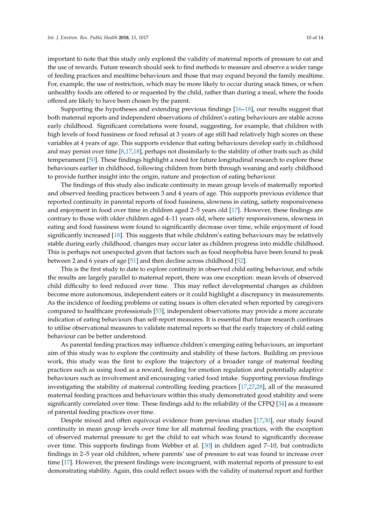important to note that this study only explored the validity of maternal reports of pressure to eat and the use of rewards. Future research should seek to find methods to measure and observe a wider range of feeding practices and mealtime behaviours and those that may expand beyond the family mealtime. For, example, the use of restriction, which may be more likely to occur during snack times, or when unhealthy foods are offered to or requested by the child, rather than during a meal, where the foods offered are likely to have been chosen by the parent.

Supporting the hypotheses and extending previous findings [\[16–](#page-12-12)[18\]](#page-13-0), our results suggest that both maternal reports and independent observations of children's eating behaviours are stable across early childhood. Significant correlations were found, suggesting, for example, that children with high levels of food fussiness or food refusal at 3 years of age still had relatively high scores on these variables at 4 years of age. This supports evidence that eating behaviours develop early in childhood and may persist over time [\[8,](#page-12-6)[17,](#page-12-13)[18\]](#page-13-0), perhaps not dissimilarly to the stability of other traits such as child temperament [\[50\]](#page-14-10). These findings highlight a need for future longitudinal research to explore these behaviours earlier in childhood, following children from birth through weaning and early childhood to provide further insight into the origin, nature and projection of eating behaviour.

The findings of this study also indicate continuity in mean group levels of maternally reported and observed feeding practices between 3 and 4 years of age. This supports previous evidence that reported continuity in parental reports of food fussiness, slowness in eating, satiety responsiveness and enjoyment in food over time in children aged 2–5 years old [\[17\]](#page-12-13). However, these findings are contrary to those with older children aged 4–11 years old, where satiety responsiveness, slowness in eating and food fussiness were found to significantly decrease over time, while enjoyment of food significantly increased [\[18\]](#page-13-0). This suggests that while children's eating behaviours may be relatively stable during early childhood, changes may occur later as children progress into middle childhood. This is perhaps not unexpected given that factors such as food neophobia have been found to peak between 2 and 6 years of age [\[51\]](#page-14-11) and then decline across childhood [\[52\]](#page-14-12).

This is the first study to date to explore continuity in observed child eating behaviour, and while the results are largely parallel to maternal report, there was one exception: mean levels of observed child difficulty to feed reduced over time. This may reflect developmental changes as children become more autonomous, independent eaters or it could highlight a discrepancy in measurements. As the incidence of feeding problems or eating issues is often elevated when reported by caregivers compared to healthcare professionals [\[53\]](#page-14-13), independent observations may provide a more accurate indication of eating behaviours than self-report measures. It is essential that future research continues to utilise observational measures to validate maternal reports so that the early trajectory of child eating behaviour can be better understood.

As parental feeding practices may influence children's emerging eating behaviours, an important aim of this study was to explore the continuity and stability of these factors. Building on previous work, this study was the first to explore the trajectory of a broader range of maternal feeding practices such as using food as a reward, feeding for emotion regulation and potentially adaptive behaviours such as involvement and encouraging varied food intake. Supporting previous findings investigating the stability of maternal controlling feeding practices [\[17](#page-12-13)[,27](#page-13-8)[,28\]](#page-13-9), all of the measured maternal feeding practices and behaviours within this study demonstrated good stability and were significantly correlated over time. These findings add to the reliability of the CFPQ [\[34\]](#page-13-14) as a measure of parental feeding practices over time.

Despite mixed and often equivocal evidence from previous studies [\[17](#page-12-13)[,30\]](#page-13-11), our study found continuity in mean group levels over time for all maternal feeding practices, with the exception of observed maternal pressure to get the child to eat which was found to significantly decrease over time. This supports findings from Webber et al. [\[30\]](#page-13-11) in children aged 7–10, but contradicts findings in 2–5 year old children, where parents' use of pressure to eat was found to increase over time [\[17\]](#page-12-13). However, the present findings were incongruent, with maternal reports of pressure to eat demonstrating stability. Again, this could reflect issues with the validity of maternal report and further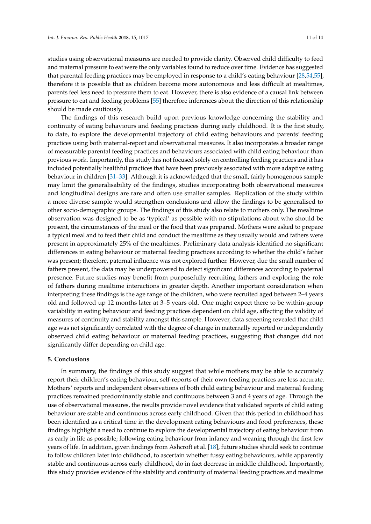studies using observational measures are needed to provide clarity. Observed child difficulty to feed and maternal pressure to eat were the only variables found to reduce over time. Evidence has suggested that parental feeding practices may be employed in response to a child's eating behaviour [\[28,](#page-13-9)[54,](#page-14-14)[55\]](#page-14-15), therefore it is possible that as children become more autonomous and less difficult at mealtimes, parents feel less need to pressure them to eat. However, there is also evidence of a causal link between pressure to eat and feeding problems [\[55\]](#page-14-15) therefore inferences about the direction of this relationship should be made cautiously.

The findings of this research build upon previous knowledge concerning the stability and continuity of eating behaviours and feeding practices during early childhood. It is the first study, to date, to explore the developmental trajectory of child eating behaviours and parents' feeding practices using both maternal-report and observational measures. It also incorporates a broader range of measurable parental feeding practices and behaviours associated with child eating behaviour than previous work. Importantly, this study has not focused solely on controlling feeding practices and it has included potentially healthful practices that have been previously associated with more adaptive eating behaviour in children [\[31](#page-13-12)[–33\]](#page-13-13). Although it is acknowledged that the small, fairly homogenous sample may limit the generalisability of the findings, studies incorporating both observational measures and longitudinal designs are rare and often use smaller samples. Replication of the study within a more diverse sample would strengthen conclusions and allow the findings to be generalised to other socio-demographic groups. The findings of this study also relate to mothers only. The mealtime observation was designed to be as 'typical' as possible with no stipulations about who should be present, the circumstances of the meal or the food that was prepared. Mothers were asked to prepare a typical meal and to feed their child and conduct the mealtime as they usually would and fathers were present in approximately 25% of the mealtimes. Preliminary data analysis identified no significant differences in eating behaviour or maternal feeding practices according to whether the child's father was present; therefore, paternal influence was not explored further. However, due the small number of fathers present, the data may be underpowered to detect significant differences according to paternal presence. Future studies may benefit from purposefully recruiting fathers and exploring the role of fathers during mealtime interactions in greater depth. Another important consideration when interpreting these findings is the age range of the children, who were recruited aged between 2–4 years old and followed up 12 months later at 3–5 years old. One might expect there to be within-group variability in eating behaviour and feeding practices dependent on child age, affecting the validity of measures of continuity and stability amongst this sample. However, data screening revealed that child age was not significantly correlated with the degree of change in maternally reported or independently observed child eating behaviour or maternal feeding practices, suggesting that changes did not significantly differ depending on child age.

#### **5. Conclusions**

In summary, the findings of this study suggest that while mothers may be able to accurately report their children's eating behaviour, self-reports of their own feeding practices are less accurate. Mothers' reports and independent observations of both child eating behaviour and maternal feeding practices remained predominantly stable and continuous between 3 and 4 years of age. Through the use of observational measures, the results provide novel evidence that validated reports of child eating behaviour are stable and continuous across early childhood. Given that this period in childhood has been identified as a critical time in the development eating behaviours and food preferences, these findings highlight a need to continue to explore the developmental trajectory of eating behaviour from as early in life as possible; following eating behaviour from infancy and weaning through the first few years of life. In addition, given findings from Ashcroft et al. [\[18\]](#page-13-0), future studies should seek to continue to follow children later into childhood, to ascertain whether fussy eating behaviours, while apparently stable and continuous across early childhood, do in fact decrease in middle childhood. Importantly, this study provides evidence of the stability and continuity of maternal feeding practices and mealtime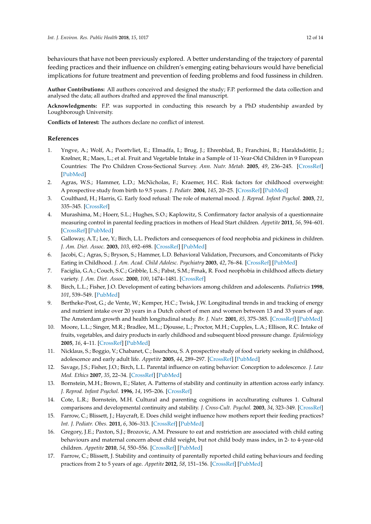behaviours that have not been previously explored. A better understanding of the trajectory of parental feeding practices and their influence on children's emerging eating behaviours would have beneficial implications for future treatment and prevention of feeding problems and food fussiness in children.

**Author Contributions:** All authors conceived and designed the study; F.P. performed the data collection and analysed the data; all authors drafted and approved the final manuscript.

**Acknowledgments:** F.P. was supported in conducting this research by a PhD studentship awarded by Loughborough University.

**Conflicts of Interest:** The authors declare no conflict of interest.

### **References**

- <span id="page-12-0"></span>1. Yngve, A.; Wolf, A.; Poortvliet, E.; Elmadfa, I.; Brug, J.; Ehrenblad, B.; Franchini, B.; Haraldsdóttir, J.; Krølner, R.; Maes, L.; et al. Fruit and Vegetable Intake in a Sample of 11-Year-Old Children in 9 European Countries: The Pro Children Cross-Sectional Survey. *Ann. Nutr. Metab.* **2005**, *49*, 236–245. [\[CrossRef\]](http://dx.doi.org/10.1159/000087247) [\[PubMed\]](http://www.ncbi.nlm.nih.gov/pubmed/16088087)
- <span id="page-12-1"></span>2. Agras, W.S.; Hammer, L.D.; McNicholas, F.; Kraemer, H.C. Risk factors for childhood overweight: A prospective study from birth to 9.5 years. *J. Pediatr.* **2004**, *145*, 20–25. [\[CrossRef\]](http://dx.doi.org/10.1016/j.jpeds.2004.03.023) [\[PubMed\]](http://www.ncbi.nlm.nih.gov/pubmed/15238901)
- 3. Coulthard, H.; Harris, G. Early food refusal: The role of maternal mood. *J. Reprod. Infant Psychol.* **2003**, *21*, 335–345. [\[CrossRef\]](http://dx.doi.org/10.1080/02646830310001622097)
- <span id="page-12-2"></span>4. Murashima, M.; Hoerr, S.L.; Hughes, S.O.; Kaplowitz, S. Confirmatory factor analysis of a questionnaire measuring control in parental feeding practices in mothers of Head Start children. *Appetite* **2011**, *56*, 594–601. [\[CrossRef\]](http://dx.doi.org/10.1016/j.appet.2011.01.031) [\[PubMed\]](http://www.ncbi.nlm.nih.gov/pubmed/21291930)
- <span id="page-12-3"></span>5. Galloway, A.T.; Lee, Y.; Birch, L.L. Predictors and consequences of food neophobia and pickiness in children. *J. Am. Diet. Assoc.* **2003**, *103*, 692–698. [\[CrossRef\]](http://dx.doi.org/10.1053/jada.2003.50134) [\[PubMed\]](http://www.ncbi.nlm.nih.gov/pubmed/12778039)
- <span id="page-12-4"></span>6. Jacobi, C.; Agras, S.; Bryson, S.; Hammer, L.D. Behavioral Validation, Precursors, and Concomitants of Picky Eating in Childhood. *J. Am. Acad. Child Adolesc. Psychiatry* **2003**, *42*, 76–84. [\[CrossRef\]](http://dx.doi.org/10.1097/00004583-200301000-00013) [\[PubMed\]](http://www.ncbi.nlm.nih.gov/pubmed/12500079)
- <span id="page-12-5"></span>7. Faciglia, G.A.; Couch, S.C.; Gribble, L.S.; Pabst, S.M.; Frnak, R. Food neophobia in childhood affects dietary variety. *J. Am. Diet. Assoc.* **2000**, *100*, 1474–1481. [\[CrossRef\]](http://dx.doi.org/10.1016/S0002-8223(00)00412-0)
- <span id="page-12-6"></span>8. Birch, L.L.; Fisher, J.O. Development of eating behaviors among children and adolescents. *Pediatrics* **1998**, *101*, 539–549. [\[PubMed\]](http://www.ncbi.nlm.nih.gov/pubmed/12224660)
- <span id="page-12-7"></span>9. Bertheke-Post, G.; de Vente, W.; Kemper, H.C.; Twisk, J.W. Longitudinal trends in and tracking of energy and nutrient intake over 20 years in a Dutch cohort of men and women between 13 and 33 years of age. The Amsterdam growth and health longitudinal study. *Br. J. Nutr.* **2001**, *85*, 375–385. [\[CrossRef\]](http://dx.doi.org/10.1079/BJN2000249) [\[PubMed\]](http://www.ncbi.nlm.nih.gov/pubmed/11299083)
- 10. Moore, L.L.; Singer, M.R.; Bradlee, M.L.; Djousse, L.; Proctor, M.H.; Cupples, L.A.; Ellison, R.C. Intake of fruits, vegetables, and dairy products in early childhood and subsequent blood pressure change. *Epidemiology* **2005**, *16*, 4–11. [\[CrossRef\]](http://dx.doi.org/10.1097/01.ede.0000147106.32027.3e) [\[PubMed\]](http://www.ncbi.nlm.nih.gov/pubmed/15613939)
- 11. Nicklaus, S.; Boggio, V.; Chabanet, C.; Issanchou, S. A prospective study of food variety seeking in childhood, adolescence and early adult life. *Appetite* **2005**, *44*, 289–297. [\[CrossRef\]](http://dx.doi.org/10.1016/j.appet.2005.01.006) [\[PubMed\]](http://www.ncbi.nlm.nih.gov/pubmed/15927730)
- <span id="page-12-8"></span>12. Savage, J.S.; Fisher, J.O.; Birch, L.L. Parental influence on eating behavior: Conception to adolescence. *J. Law Med. Ethics* **2007**, *35*, 22–34. [\[CrossRef\]](http://dx.doi.org/10.1111/j.1748-720X.2007.00111.x) [\[PubMed\]](http://www.ncbi.nlm.nih.gov/pubmed/17341215)
- <span id="page-12-9"></span>13. Bornstein, M.H.; Brown, E.; Slater, A. Patterns of stability and continuity in attention across early infancy. *J. Reprod. Infant Psychol.* **1996**, *14*, 195–206. [\[CrossRef\]](http://dx.doi.org/10.1080/02646839608404517)
- <span id="page-12-10"></span>14. Cote, L.R.; Bornstein, M.H. Cultural and parenting cognitions in acculturating cultures 1. Cultural comparisons and developmental continuity and stability. *J. Cross-Cult. Psychol.* **2003**, *34*, 323–349. [\[CrossRef\]](http://dx.doi.org/10.1177/0022022103034003006)
- <span id="page-12-11"></span>15. Farrow, C.; Blissett, J.; Haycraft, E. Does child weight influence how mothers report their feeding practices? *Int. J. Pediatr. Obes.* **2011**, *6*, 306–313. [\[CrossRef\]](http://dx.doi.org/10.3109/17477166.2011.575160) [\[PubMed\]](http://www.ncbi.nlm.nih.gov/pubmed/21728778)
- <span id="page-12-12"></span>16. Gregory, J.E.; Paxton, S.J.; Brozovic, A.M. Pressure to eat and restriction are associated with child eating behaviours and maternal concern about child weight, but not child body mass index, in 2- to 4-year-old children. *Appetite* **2010**, *54*, 550–556. [\[CrossRef\]](http://dx.doi.org/10.1016/j.appet.2010.02.013) [\[PubMed\]](http://www.ncbi.nlm.nih.gov/pubmed/20219609)
- <span id="page-12-13"></span>17. Farrow, C.; Blissett, J. Stability and continuity of parentally reported child eating behaviours and feeding practices from 2 to 5 years of age. *Appetite* **2012**, *58*, 151–156. [\[CrossRef\]](http://dx.doi.org/10.1016/j.appet.2011.09.005) [\[PubMed\]](http://www.ncbi.nlm.nih.gov/pubmed/21986188)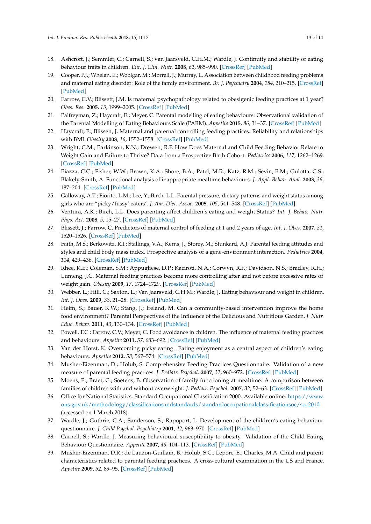- <span id="page-13-0"></span>18. Ashcroft, J.; Semmler, C.; Carnell, S.; van Jaarsveld, C.H.M.; Wardle, J. Continuity and stability of eating behaviour traits in children. *Eur. J. Clin. Nutr.* **2008**, *62*, 985–990. [\[CrossRef\]](http://dx.doi.org/10.1038/sj.ejcn.1602855) [\[PubMed\]](http://www.ncbi.nlm.nih.gov/pubmed/17684526)
- <span id="page-13-1"></span>19. Cooper, P.J.; Whelan, E.; Woolgar, M.; Morrell, J.; Murray, L. Association between childhood feeding problems and maternal eating disorder: Role of the family environment. *Br. J. Psychiatry* **2004**, *184*, 210–215. [\[CrossRef\]](http://dx.doi.org/10.1192/bjp.184.3.210) [\[PubMed\]](http://www.ncbi.nlm.nih.gov/pubmed/14990518)
- <span id="page-13-20"></span>20. Farrow, C.V.; Blissett, J.M. Is maternal psychopathology related to obesigenic feeding practices at 1 year? *Obes. Res.* **2005**, *13*, 1999–2005. [\[CrossRef\]](http://dx.doi.org/10.1038/oby.2005.245) [\[PubMed\]](http://www.ncbi.nlm.nih.gov/pubmed/16339132)
- <span id="page-13-2"></span>21. Palfreyman, Z.; Haycraft, E.; Meyer, C. Parental modelling of eating behaviours: Observational validation of the Parental Modelling of Eating Behaviours Scale (PARM). *Appetite* **2015**, *86*, 31–37. [\[CrossRef\]](http://dx.doi.org/10.1016/j.appet.2014.08.008) [\[PubMed\]](http://www.ncbi.nlm.nih.gov/pubmed/25111293)
- <span id="page-13-3"></span>22. Haycraft, E.; Blissett, J. Maternal and paternal controlling feeding practices: Reliability and relationships with BMI. *Obesity* **2008**, *16*, 1552–1558. [\[CrossRef\]](http://dx.doi.org/10.1038/oby.2008.238) [\[PubMed\]](http://www.ncbi.nlm.nih.gov/pubmed/18421263)
- <span id="page-13-4"></span>23. Wright, C.M.; Parkinson, K.N.; Drewett, R.F. How Does Maternal and Child Feeding Behavior Relate to Weight Gain and Failure to Thrive? Data from a Prospective Birth Cohort. *Pediatrics* **2006**, *117*, 1262–1269. [\[CrossRef\]](http://dx.doi.org/10.1542/peds.2005-1215) [\[PubMed\]](http://www.ncbi.nlm.nih.gov/pubmed/16585323)
- <span id="page-13-5"></span>24. Piazza, C.C.; Fisher, W.W.; Brown, K.A.; Shore, B.A.; Patel, M.R.; Katz, R.M.; Sevin, B.M.; Gulotta, C.S.; Blakely-Smith, A. Functional analysis of inappropriate mealtime behaviours. *J. Appl. Behav. Anal.* **2003**, *36*, 187–204. [\[CrossRef\]](http://dx.doi.org/10.1901/jaba.2003.36-187) [\[PubMed\]](http://www.ncbi.nlm.nih.gov/pubmed/12858984)
- <span id="page-13-6"></span>25. Galloway, A.T.; Fiorito, L.M.; Lee, Y.; Birch, L.L. Parental pressure, dietary patterns and weight status among girls who are "picky/fussy' eaters'. *J. Am. Diet. Assoc.* **2005**, *105*, 541–548. [\[CrossRef\]](http://dx.doi.org/10.1016/j.jada.2005.01.029) [\[PubMed\]](http://www.ncbi.nlm.nih.gov/pubmed/15800554)
- <span id="page-13-7"></span>26. Ventura, A.K.; Birch, L.L. Does parenting affect children's eating and weight Status? *Int. J. Behav. Nutr. Phys. Act.* **2008**, *5*, 15–27. [\[CrossRef\]](http://dx.doi.org/10.1186/1479-5868-5-15) [\[PubMed\]](http://www.ncbi.nlm.nih.gov/pubmed/18346282)
- <span id="page-13-8"></span>27. Blissett, J.; Farrow, C. Predictors of maternal control of feeding at 1 and 2 years of age. *Int. J. Obes.* **2007**, *31*, 1520–1526. [\[CrossRef\]](http://dx.doi.org/10.1038/sj.ijo.0803661) [\[PubMed\]](http://www.ncbi.nlm.nih.gov/pubmed/17579636)
- <span id="page-13-9"></span>28. Faith, M.S.; Berkowitz, R.I.; Stallings, V.A.; Kerns, J.; Storey, M.; Stunkard, A.J. Parental feeding attitudes and styles and child body mass index. Prospective analysis of a gene-environment interaction. *Pediatrics* **2004**, *114*, 429–436. [\[CrossRef\]](http://dx.doi.org/10.1542/peds.2003-1075-L) [\[PubMed\]](http://www.ncbi.nlm.nih.gov/pubmed/15466068)
- <span id="page-13-10"></span>29. Rhee, K.E.; Coleman, S.M.; Appugliese, D.P.; Kaciroti, N.A.; Corwyn, R.F.; Davidson, N.S.; Bradley, R.H.; Lumeng, J.C. Maternal feeding practices become more controlling after and not before excessive rates of weight gain. *Obesity* **2009**, *17*, 1724–1729. [\[CrossRef\]](http://dx.doi.org/10.1038/oby.2009.54) [\[PubMed\]](http://www.ncbi.nlm.nih.gov/pubmed/19282827)
- <span id="page-13-11"></span>30. Webber, L.; Hill, C.; Saxton, L.; Van Jaarsveld, C.H.M.; Wardle, J. Eating behaviour and weight in children. *Int. J. Obes.* **2009**, *33*, 21–28. [\[CrossRef\]](http://dx.doi.org/10.1038/ijo.2008.219) [\[PubMed\]](http://www.ncbi.nlm.nih.gov/pubmed/19002146)
- <span id="page-13-12"></span>31. Heim, S.; Bauer, K.W.; Stang, J.; Ireland, M. Can a community-based intervention improve the home food environment? Parental Perspectives of the Influence of the Delicious and Nutritious Garden. *J. Nutr. Educ. Behav.* **2011**, *43*, 130–134. [\[CrossRef\]](http://dx.doi.org/10.1016/j.jneb.2010.01.003) [\[PubMed\]](http://www.ncbi.nlm.nih.gov/pubmed/21273132)
- 32. Powell, F.C.; Farrow, C.V.; Meyer, C. Food avoidance in children. The influence of maternal feeding practices and behaviours. *Appetite* **2011**, *57*, 683–692. [\[CrossRef\]](http://dx.doi.org/10.1016/j.appet.2011.08.011) [\[PubMed\]](http://www.ncbi.nlm.nih.gov/pubmed/21896295)
- <span id="page-13-13"></span>33. Van der Horst, K. Overcoming picky eating. Eating enjoyment as a central aspect of children's eating behaviours. *Appetite* **2012**, *58*, 567–574. [\[CrossRef\]](http://dx.doi.org/10.1016/j.appet.2011.12.019) [\[PubMed\]](http://www.ncbi.nlm.nih.gov/pubmed/22245133)
- <span id="page-13-14"></span>34. Musher-Eizenman, D.; Holub, S. Comprehensive Feeding Practices Questionnaire. Validation of a new measure of parental feeding practices. *J. Pediatr. Psychol.* **2007**, *32*, 960–972. [\[CrossRef\]](http://dx.doi.org/10.1093/jpepsy/jsm037) [\[PubMed\]](http://www.ncbi.nlm.nih.gov/pubmed/17535817)
- <span id="page-13-15"></span>35. Moens, E.; Braet, C.; Soetens, B. Observation of family functioning at mealtime: A comparison between families of children with and without overweight. *J. Pediatr. Psychol.* **2007**, *32*, 52–63. [\[CrossRef\]](http://dx.doi.org/10.1093/jpepsy/jsl011) [\[PubMed\]](http://www.ncbi.nlm.nih.gov/pubmed/16801324)
- <span id="page-13-16"></span>36. Office for National Statistics. Standard Occupational Classification 2000. Available online: [https://www.](https://www.ons.gov.uk/methodology/classificationsandstandards/standardoccupationalclassificationsoc/soc2010) [ons.gov.uk/methodology/classificationsandstandards/standardoccupationalclassificationsoc/soc2010](https://www.ons.gov.uk/methodology/classificationsandstandards/standardoccupationalclassificationsoc/soc2010) (accessed on 1 March 2018).
- <span id="page-13-17"></span>37. Wardle, J.; Guthrie, C.A.; Sanderson, S.; Rapoport, L. Development of the children's eating behaviour questionnaire. *J. Child Psychol. Psychiatry* **2001**, *42*, 963–970. [\[CrossRef\]](http://dx.doi.org/10.1111/1469-7610.00792) [\[PubMed\]](http://www.ncbi.nlm.nih.gov/pubmed/11693591)
- <span id="page-13-18"></span>38. Carnell, S.; Wardle, J. Measuring behavioural susceptibility to obesity. Validation of the Child Eating Behaviour Questionnaire. *Appetite* **2007**, *48*, 104–113. [\[CrossRef\]](http://dx.doi.org/10.1016/j.appet.2006.07.075) [\[PubMed\]](http://www.ncbi.nlm.nih.gov/pubmed/16962207)
- <span id="page-13-19"></span>39. Musher-Eizenman, D.R.; de Lauzon-Guillain, B.; Holub, S.C.; Leporc, E.; Charles, M.A. Child and parent characteristics related to parental feeding practices. A cross-cultural examination in the US and France. *Appetite* **2009**, *52*, 89–95. [\[CrossRef\]](http://dx.doi.org/10.1016/j.appet.2008.08.007) [\[PubMed\]](http://www.ncbi.nlm.nih.gov/pubmed/18789986)